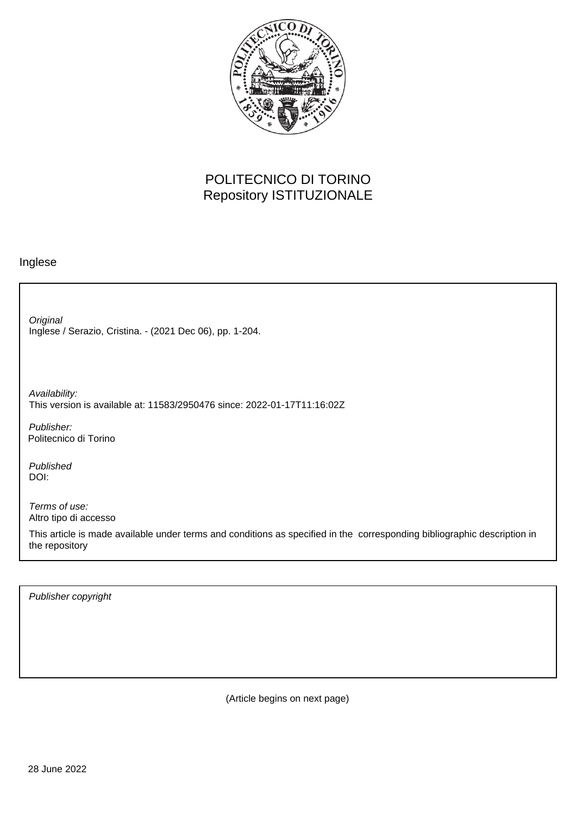

## POLITECNICO DI TORINO Repository ISTITUZIONALE

## Inglese

Inglese / Serazio, Cristina. - (2021 Dec 06), pp. 1-204. **Original** 

Availability: This version is available at: 11583/2950476 since: 2022-01-17T11:16:02Z

Publisher: Politecnico di Torino

Published DOI:

Terms of use: Altro tipo di accesso

This article is made available under terms and conditions as specified in the corresponding bibliographic description in the repository

Publisher copyright

(Article begins on next page)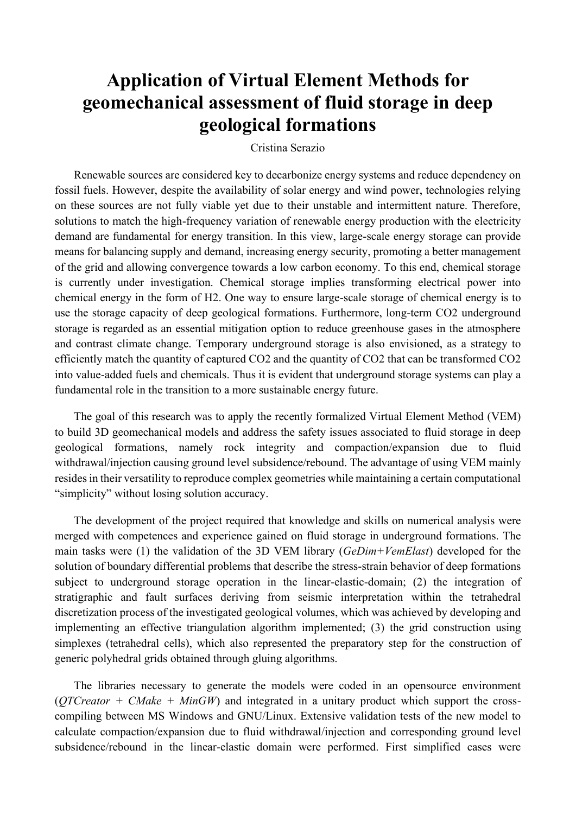## **Application of Virtual Element Methods for geomechanical assessment of fluid storage in deep geological formations**

Cristina Serazio

Renewable sources are considered key to decarbonize energy systems and reduce dependency on fossil fuels. However, despite the availability of solar energy and wind power, technologies relying on these sources are not fully viable yet due to their unstable and intermittent nature. Therefore, solutions to match the high-frequency variation of renewable energy production with the electricity demand are fundamental for energy transition. In this view, large-scale energy storage can provide means for balancing supply and demand, increasing energy security, promoting a better management of the grid and allowing convergence towards a low carbon economy. To this end, chemical storage is currently under investigation. Chemical storage implies transforming electrical power into chemical energy in the form of H2. One way to ensure large-scale storage of chemical energy is to use the storage capacity of deep geological formations. Furthermore, long-term CO2 underground storage is regarded as an essential mitigation option to reduce greenhouse gases in the atmosphere and contrast climate change. Temporary underground storage is also envisioned, as a strategy to efficiently match the quantity of captured CO2 and the quantity of CO2 that can be transformed CO2 into value-added fuels and chemicals. Thus it is evident that underground storage systems can play a fundamental role in the transition to a more sustainable energy future.

The goal of this research was to apply the recently formalized Virtual Element Method (VEM) to build 3D geomechanical models and address the safety issues associated to fluid storage in deep geological formations, namely rock integrity and compaction/expansion due to fluid withdrawal/injection causing ground level subsidence/rebound. The advantage of using VEM mainly resides in their versatility to reproduce complex geometries while maintaining a certain computational "simplicity" without losing solution accuracy.

The development of the project required that knowledge and skills on numerical analysis were merged with competences and experience gained on fluid storage in underground formations. The main tasks were (1) the validation of the 3D VEM library (*GeDim+VemElast*) developed for the solution of boundary differential problems that describe the stress-strain behavior of deep formations subject to underground storage operation in the linear-elastic-domain; (2) the integration of stratigraphic and fault surfaces deriving from seismic interpretation within the tetrahedral discretization process of the investigated geological volumes, which was achieved by developing and implementing an effective triangulation algorithm implemented; (3) the grid construction using simplexes (tetrahedral cells), which also represented the preparatory step for the construction of generic polyhedral grids obtained through gluing algorithms.

The libraries necessary to generate the models were coded in an opensource environment (*QTCreator + CMake + MinGW*) and integrated in a unitary product which support the crosscompiling between MS Windows and GNU/Linux. Extensive validation tests of the new model to calculate compaction/expansion due to fluid withdrawal/injection and corresponding ground level subsidence/rebound in the linear-elastic domain were performed. First simplified cases were